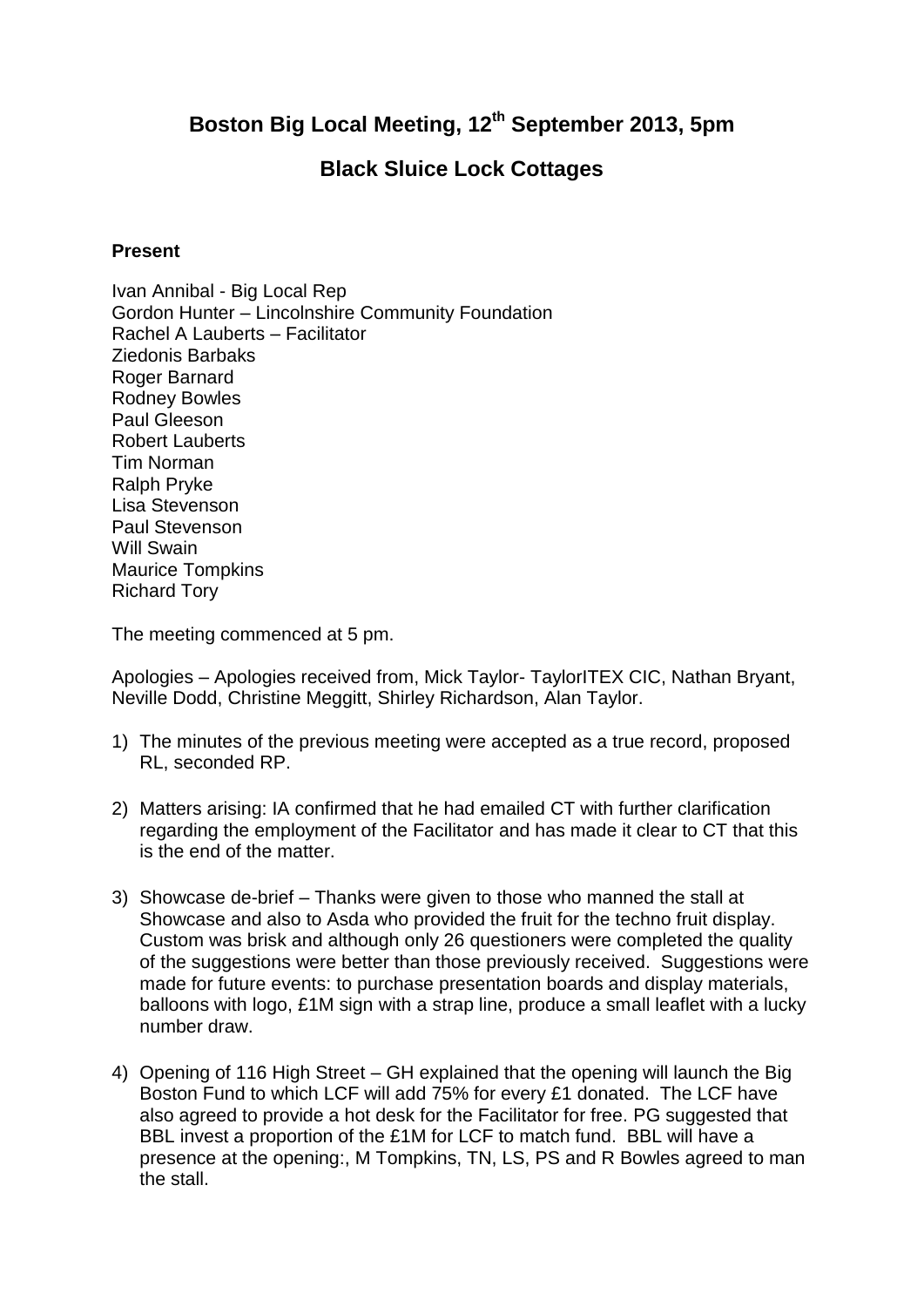## **Boston Big Local Meeting, 12th September 2013, 5pm**

## **Black Sluice Lock Cottages**

## **Present**

Ivan Annibal - Big Local Rep Gordon Hunter – Lincolnshire Community Foundation Rachel A Lauberts – Facilitator Ziedonis Barbaks Roger Barnard Rodney Bowles Paul Gleeson Robert Lauberts Tim Norman Ralph Pryke Lisa Stevenson Paul Stevenson Will Swain Maurice Tompkins Richard Tory

The meeting commenced at 5 pm.

Apologies – Apologies received from, Mick Taylor- TaylorITEX CIC, Nathan Bryant, Neville Dodd, Christine Meggitt, Shirley Richardson, Alan Taylor.

- 1) The minutes of the previous meeting were accepted as a true record, proposed RL, seconded RP.
- 2) Matters arising: IA confirmed that he had emailed CT with further clarification regarding the employment of the Facilitator and has made it clear to CT that this is the end of the matter.
- 3) Showcase de-brief Thanks were given to those who manned the stall at Showcase and also to Asda who provided the fruit for the techno fruit display. Custom was brisk and although only 26 questioners were completed the quality of the suggestions were better than those previously received. Suggestions were made for future events: to purchase presentation boards and display materials, balloons with logo, £1M sign with a strap line, produce a small leaflet with a lucky number draw.
- 4) Opening of 116 High Street GH explained that the opening will launch the Big Boston Fund to which LCF will add 75% for every £1 donated. The LCF have also agreed to provide a hot desk for the Facilitator for free. PG suggested that BBL invest a proportion of the £1M for LCF to match fund. BBL will have a presence at the opening:, M Tompkins, TN, LS, PS and R Bowles agreed to man the stall.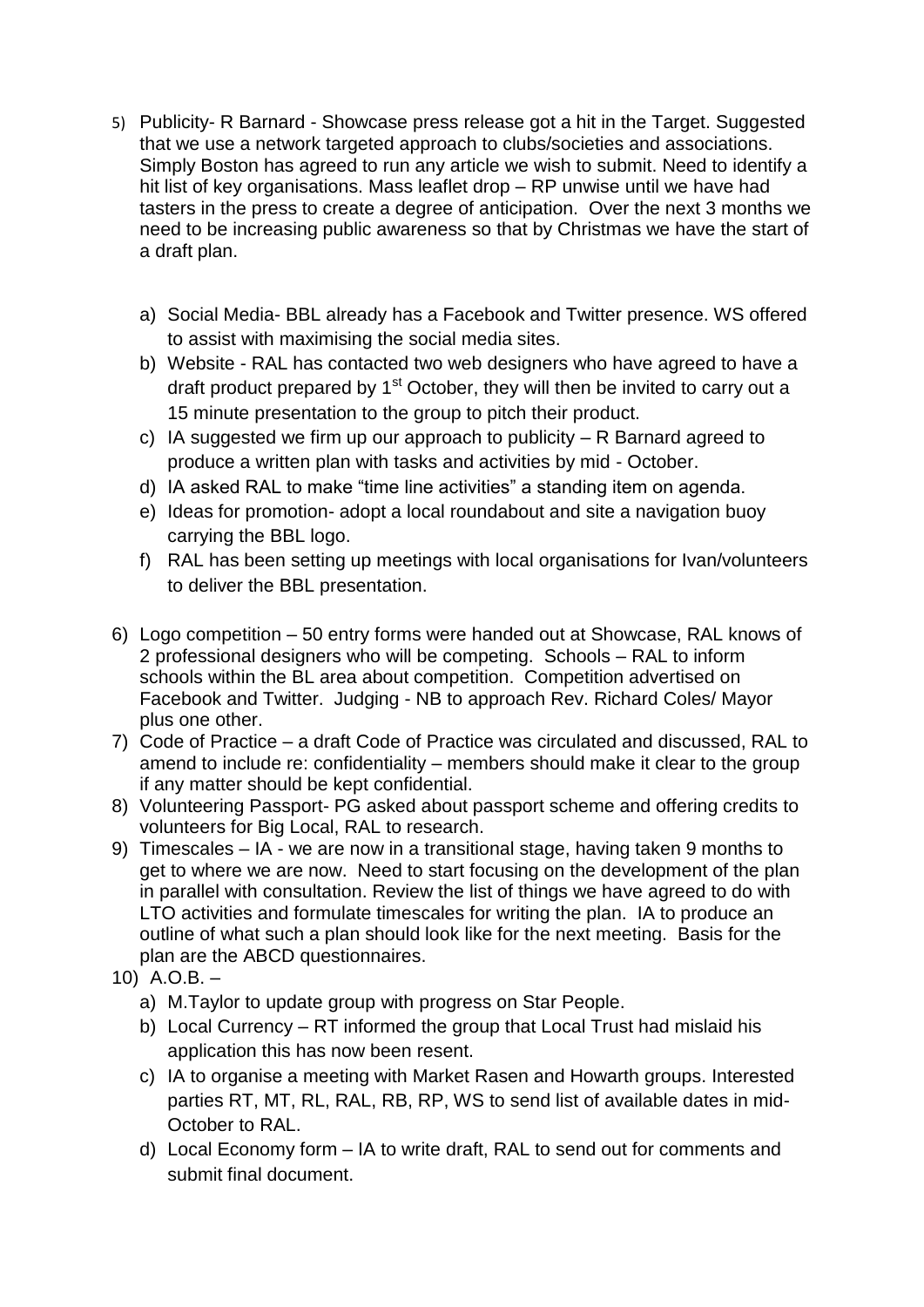- 5) Publicity- R Barnard Showcase press release got a hit in the Target. Suggested that we use a network targeted approach to clubs/societies and associations. Simply Boston has agreed to run any article we wish to submit. Need to identify a hit list of key organisations. Mass leaflet drop – RP unwise until we have had tasters in the press to create a degree of anticipation. Over the next 3 months we need to be increasing public awareness so that by Christmas we have the start of a draft plan.
	- a) Social Media- BBL already has a Facebook and Twitter presence. WS offered to assist with maximising the social media sites.
	- b) Website RAL has contacted two web designers who have agreed to have a draft product prepared by  $1<sup>st</sup>$  October, they will then be invited to carry out a 15 minute presentation to the group to pitch their product.
	- c) IA suggested we firm up our approach to publicity R Barnard agreed to produce a written plan with tasks and activities by mid - October.
	- d) IA asked RAL to make "time line activities" a standing item on agenda.
	- e) Ideas for promotion- adopt a local roundabout and site a navigation buoy carrying the BBL logo.
	- f) RAL has been setting up meetings with local organisations for Ivan/volunteers to deliver the BBL presentation.
- 6) Logo competition 50 entry forms were handed out at Showcase, RAL knows of 2 professional designers who will be competing. Schools – RAL to inform schools within the BL area about competition. Competition advertised on Facebook and Twitter. Judging - NB to approach Rev. Richard Coles/ Mayor plus one other.
- 7) Code of Practice a draft Code of Practice was circulated and discussed, RAL to amend to include re: confidentiality – members should make it clear to the group if any matter should be kept confidential.
- 8) Volunteering Passport- PG asked about passport scheme and offering credits to volunteers for Big Local, RAL to research.
- 9) Timescales IA we are now in a transitional stage, having taken 9 months to get to where we are now. Need to start focusing on the development of the plan in parallel with consultation. Review the list of things we have agreed to do with LTO activities and formulate timescales for writing the plan. IA to produce an outline of what such a plan should look like for the next meeting. Basis for the plan are the ABCD questionnaires.
- 10) A.O.B.
	- a) M.Taylor to update group with progress on Star People.
	- b) Local Currency RT informed the group that Local Trust had mislaid his application this has now been resent.
	- c) IA to organise a meeting with Market Rasen and Howarth groups. Interested parties RT, MT, RL, RAL, RB, RP, WS to send list of available dates in mid-October to RAL.
	- d) Local Economy form IA to write draft, RAL to send out for comments and submit final document.